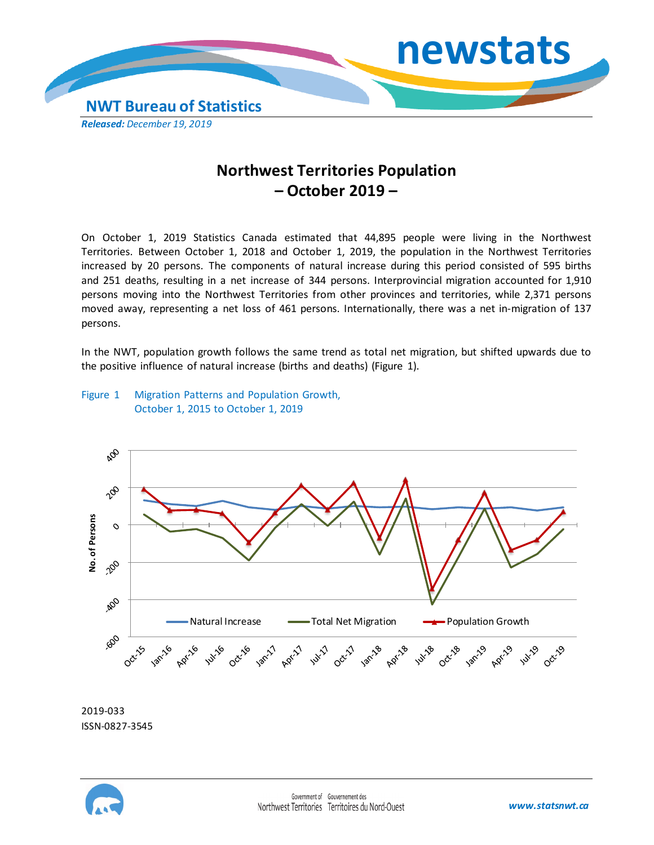

# **Northwest Territories Population – October 2019 –**

On October 1, 2019 Statistics Canada estimated that 44,895 people were living in the Northwest Territories. Between October 1, 2018 and October 1, 2019, the population in the Northwest Territories increased by 20 persons. The components of natural increase during this period consisted of 595 births and 251 deaths, resulting in a net increase of 344 persons. Interprovincial migration accounted for 1,910 persons moving into the Northwest Territories from other provinces and territories, while 2,371 persons moved away, representing a net loss of 461 persons. Internationally, there was a net in-migration of 137 persons.

In the NWT, population growth follows the same trend as total net migration, but shifted upwards due to the positive influence of natural increase (births and deaths) (Figure 1).

### Figure 1 Migration Patterns and Population Growth, October 1, 2015 to October 1, 2019



2019-033

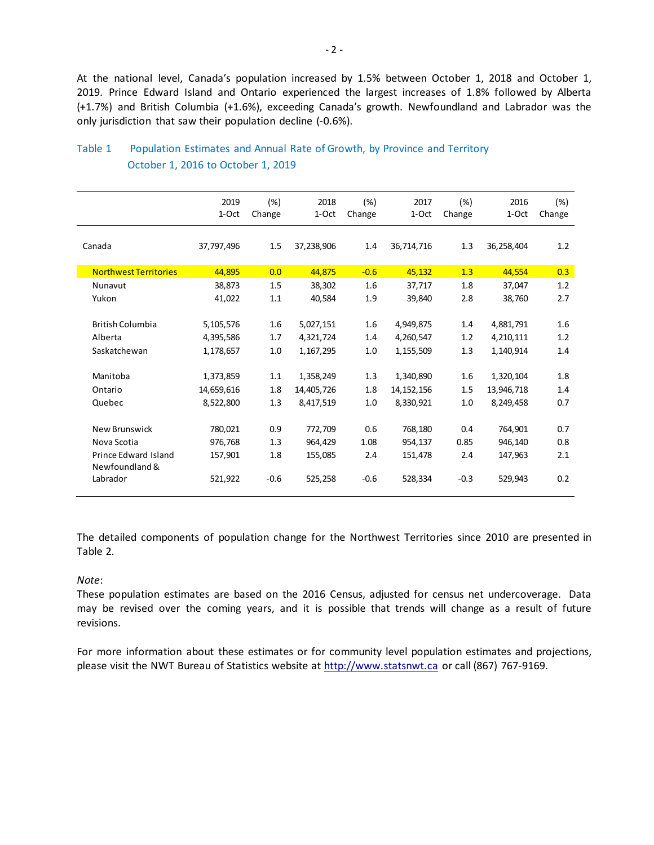At the national level, Canada's population increased by 1.5% between October 1, 2018 and October 1, 2019. Prince Edward Island and Ontario experienced the largest increases of 1.8% followed by Alberta (+1.7%) and British Columbia (+1.6%), exceeding Canada's growth. Newfoundland and Labrador was the only jurisdiction that saw their population decline (-0.6%).

|                              | 2019<br>1-Oct | (%)<br>Change | 2018<br>1-Oct | (%)<br>Change | 2017<br>1-Oct | (%)<br>Change | 2016<br>1-Oct | (%)<br>Change |
|------------------------------|---------------|---------------|---------------|---------------|---------------|---------------|---------------|---------------|
| Canada                       | 37,797,496    | 1.5           | 37,238,906    | 1.4           | 36,714,716    | 1.3           | 36,258,404    | 1.2           |
| <b>Northwest Territories</b> | 44,895        | 0.0           | 44,875        | $-0.6$        | 45,132        | 1.3           | 44,554        | 0.3           |
| Nunavut                      | 38,873        | 1.5           | 38,302        | 1.6           | 37,717        | 1.8           | 37,047        | 1.2           |
| Yukon                        | 41,022        | 1.1           | 40,584        | 1.9           | 39,840        | 2.8           | 38,760        | 2.7           |
|                              |               |               |               |               |               |               |               |               |
| <b>British Columbia</b>      | 5,105,576     | 1.6           | 5,027,151     | 1.6           | 4,949,875     | 1.4           | 4,881,791     | 1.6           |
| Alberta                      | 4,395,586     | 1.7           | 4,321,724     | 1.4           | 4,260,547     | 1.2           | 4,210,111     | 1.2           |
| Saskatchewan                 | 1,178,657     | 1.0           | 1,167,295     | 1.0           | 1,155,509     | 1.3           | 1,140,914     | 1.4           |
| Manitoba                     | 1,373,859     | 1.1           | 1,358,249     | 1.3           | 1,340,890     | 1.6           | 1,320,104     | 1.8           |
| Ontario                      | 14,659,616    | 1.8           | 14,405,726    | 1.8           | 14, 152, 156  | 1.5           | 13,946,718    | 1.4           |
| Quebec                       | 8,522,800     | 1.3           | 8,417,519     | 1.0           | 8,330,921     | 1.0           | 8,249,458     | 0.7           |
| New Brunswick                | 780,021       | 0.9           | 772,709       | 0.6           | 768,180       | 0.4           | 764,901       | 0.7           |
| Nova Scotia                  | 976,768       | 1.3           | 964,429       | 1.08          | 954,137       | 0.85          | 946,140       | 0.8           |
| Prince Edward Island         | 157,901       | 1.8           | 155,085       | 2.4           | 151,478       | 2.4           | 147,963       | 2.1           |
| Newfoundland &               |               |               |               |               |               |               |               |               |
| Labrador                     | 521,922       | $-0.6$        | 525,258       | $-0.6$        | 528,334       | $-0.3$        | 529,943       | 0.2           |

## Table 1 Population Estimates and Annual Rate of Growth, by Province and Territory October 1, 2016 to October 1, 2019

The detailed components of population change for the Northwest Territories since 2010 are presented in Table 2.

### *Note*:

These population estimates are based on the 2016 Census, adjusted for census net undercoverage. Data may be revised over the coming years, and it is possible that trends will change as a result of future revisions.

For more information about these estimates or for community level population estimates and projections, please visit the NWT Bureau of Statistics website at http://www.statsnwt.ca or call (867) 767-9169.